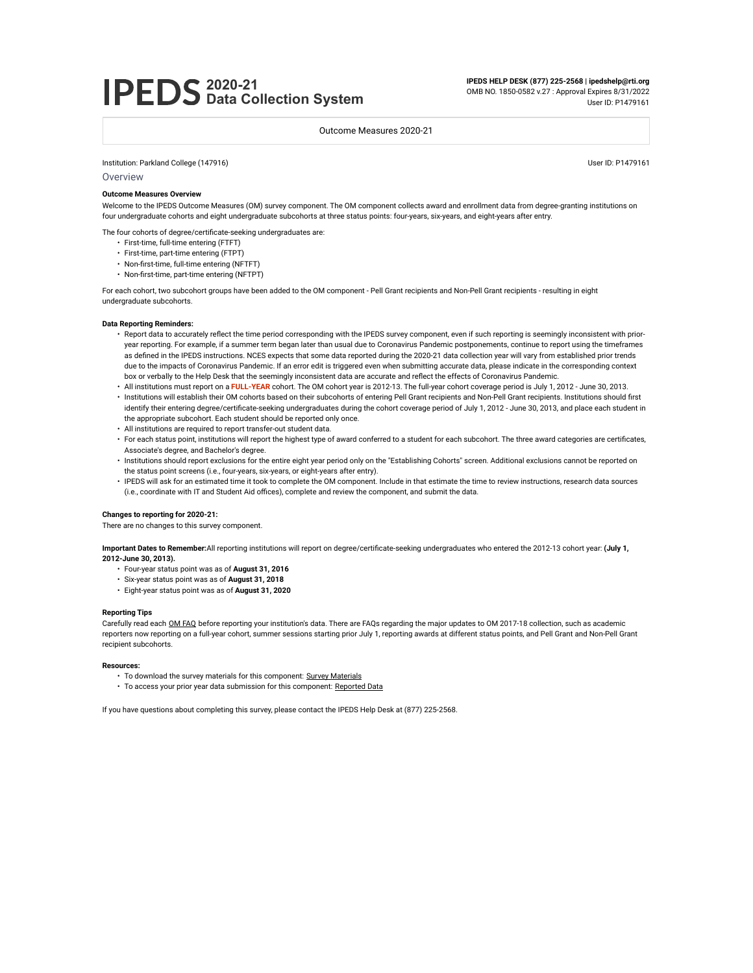# **2020-21 Data Collection System**

**IPEDS HELP DESK (877) 225-2568 | ipedshelp@rti.org** OMB NO. 1850-0582 v.27 : Approval Expires 8/31/2022

User ID: P1479161

Outcome Measures 2020-21

Institution: Parkland College (147916) User ID: P1479161

**Overview** 

#### **Outcome Measures Overview**

Welcome to the IPEDS Outcome Measures (OM) survey component. The OM component collects award and enrollment data from degree-granting institutions on four undergraduate cohorts and eight undergraduate subcohorts at three status points: four-years, six-years, and eight-years after entry.

The four cohorts of degree/certificate-seeking undergraduates are:

- First-time, full-time entering (FTFT)
- First-time, part-time entering (FTPT)
- Non-first-time, full-time entering (NFTFT)
- Non-first-time, part-time entering (NFTPT)

For each cohort, two subcohort groups have been added to the OM component - Pell Grant recipients and Non-Pell Grant recipients - resulting in eight undergraduate subcohorts.

#### **Data Reporting Reminders:**

- Report data to accurately reflect the time period corresponding with the IPEDS survey component, even if such reporting is seemingly inconsistent with prioryear reporting. For example, if a summer term began later than usual due to Coronavirus Pandemic postponements, continue to report using the timeframes as defined in the IPEDS instructions. NCES expects that some data reported during the 2020-21 data collection year will vary from established prior trends due to the impacts of Coronavirus Pandemic. If an error edit is triggered even when submitting accurate data, please indicate in the corresponding context box or verbally to the Help Desk that the seemingly inconsistent data are accurate and reflect the effects of Coronavirus Pandemic.
- All institutions must report on a **FULL-YEAR** cohort. The OM cohort year is 2012-13. The full-year cohort coverage period is July 1, 2012 June 30, 2013.
- Institutions will establish their OM cohorts based on their subcohorts of entering Pell Grant recipients and Non-Pell Grant recipients. Institutions should first identify their entering degree/certificate-seeking undergraduates during the cohort coverage period of July 1, 2012 - June 30, 2013, and place each student in the appropriate subcohort. Each student should be reported only once.
- All institutions are required to report transfer-out student data.
- For each status point, institutions will report the highest type of award conferred to a student for each subcohort. The three award categories are certificates, Associate's degree, and Bachelor's degree.
- Institutions should report exclusions for the entire eight year period only on the "Establishing Cohorts" screen. Additional exclusions cannot be reported on the status point screens (i.e., four-years, six-years, or eight-years after entry).
- IPEDS will ask for an estimated time it took to complete the OM component. Include in that estimate the time to review instructions, research data sources (i.e., coordinate with IT and Student Aid offices), complete and review the component, and submit the data.

#### **Changes to reporting for 2020-21:**

There are no changes to this survey component.

**Important Dates to Remember:**All reporting institutions will report on degree/certificate-seeking undergraduates who entered the 2012-13 cohort year: **(July 1, 2012-June 30, 2013).** 

- Four-year status point was as of **August 31, 2016**
- Six-year status point was as of **August 31, 2018**
- Eight-year status point was as of **August 31, 2020**

#### **Reporting Tips**

Carefully read each OM FAQ before reporting your institution's data. There are FAQs regarding the major updates to OM 2017-18 collection, such as academic reporters now reporting on a full-year cohort, summer sessions starting prior July 1, reporting awards at different status points, and Pell Grant and Non-Pell Grant recipient subcohorts.

#### **Resources:**

- To download the survey materials for this component: Survey Materials
- To access your prior year data submission for this component: Reported Data

If you have questions about completing this survey, please contact the IPEDS Help Desk at (877) 225-2568.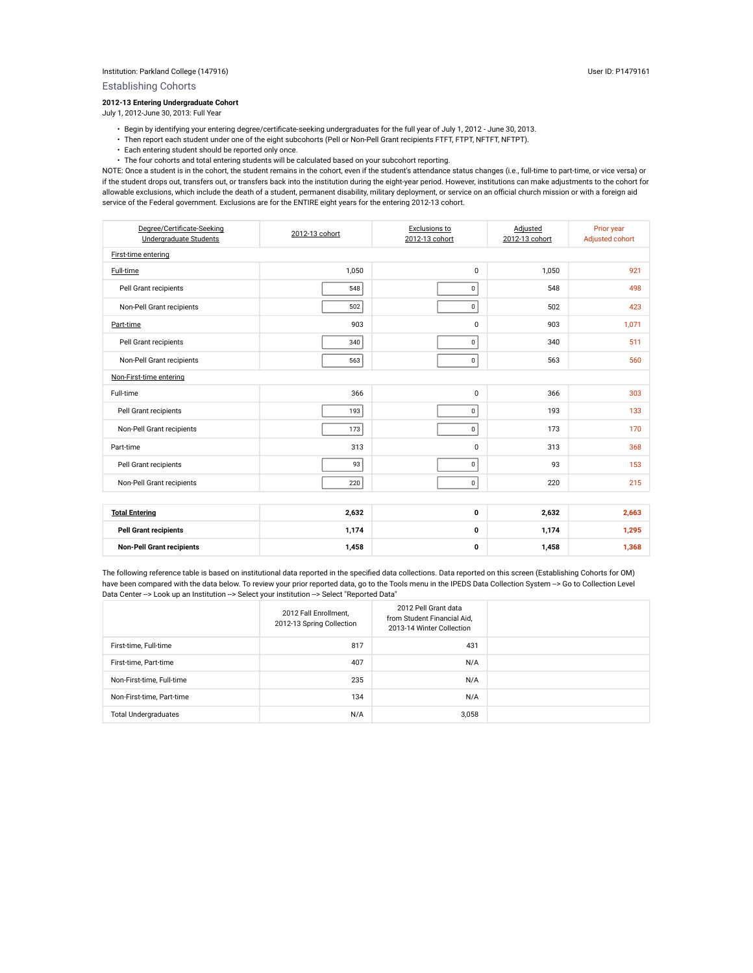Establishing Cohorts

### **2012-13 Entering Undergraduate Cohort**

July 1, 2012-June 30, 2013: Full Year

- Begin by identifying your entering degree/certificate-seeking undergraduates for the full year of July 1, 2012 June 30, 2013.
- Then report each student under one of the eight subcohorts (Pell or Non-Pell Grant recipients FTFT, FTPT, NFTFT, NFTPT).
- Each entering student should be reported only once.
- The four cohorts and total entering students will be calculated based on your subcohort reporting.

NOTE: Once a student is in the cohort, the student remains in the cohort, even if the student's attendance status changes (i.e., full-time to part-time, or vice versa) or if the student drops out, transfers out, or transfers back into the institution during the eight-year period. However, institutions can make adjustments to the cohort for allowable exclusions, which include the death of a student, permanent disability, military deployment, or service on an official church mission or with a foreign aid service of the Federal government. Exclusions are for the ENTIRE eight years for the entering 2012-13 cohort.

| Degree/Certificate-Seeking<br>Undergraduate Students | 2012-13 cohort | Exclusions to<br>2012-13 cohort | Adjusted<br>2012-13 cohort | Prior year<br>Adjusted cohort |  |  |  |  |  |  |
|------------------------------------------------------|----------------|---------------------------------|----------------------------|-------------------------------|--|--|--|--|--|--|
| First-time entering                                  |                |                                 |                            |                               |  |  |  |  |  |  |
| Full-time                                            | 1,050          | $\mathbf 0$                     | 1,050                      | 921                           |  |  |  |  |  |  |
| Pell Grant recipients                                | 548            | $\pmb{0}$                       | 548                        | 498                           |  |  |  |  |  |  |
| Non-Pell Grant recipients                            | 502            | $\mathbf 0$                     | 502                        | 423                           |  |  |  |  |  |  |
| Part-time                                            | 903            | 0                               | 903                        | 1,071                         |  |  |  |  |  |  |
| Pell Grant recipients                                | 340            | $\mathbf 0$                     | 340                        | 511                           |  |  |  |  |  |  |
| Non-Pell Grant recipients                            | 563            | $\pmb{0}$                       | 563                        | 560                           |  |  |  |  |  |  |
| Non-First-time entering                              |                |                                 |                            |                               |  |  |  |  |  |  |
| Full-time                                            | 366            | 0                               | 366                        | 303                           |  |  |  |  |  |  |
| Pell Grant recipients                                | 193            | $\pmb{0}$                       | 193                        | 133                           |  |  |  |  |  |  |
| Non-Pell Grant recipients                            | 173            | $\pmb{0}$                       | 173                        | 170                           |  |  |  |  |  |  |
| Part-time                                            | 313            | 0                               | 313                        | 368                           |  |  |  |  |  |  |
| Pell Grant recipients                                | 93             | $\pmb{0}$                       | 93                         | 153                           |  |  |  |  |  |  |
| Non-Pell Grant recipients                            | 220            | $\pmb{0}$                       | 220                        | 215                           |  |  |  |  |  |  |
|                                                      |                |                                 |                            |                               |  |  |  |  |  |  |
| <b>Total Entering</b>                                | 2,632          | 0                               | 2,632                      | 2,663                         |  |  |  |  |  |  |
| <b>Pell Grant recipients</b>                         | 1,174          | 0                               | 1,174                      | 1,295                         |  |  |  |  |  |  |
| <b>Non-Pell Grant recipients</b>                     | 1,458          | 0                               | 1,458                      | 1,368                         |  |  |  |  |  |  |

The following reference table is based on institutional data reported in the specified data collections. Data reported on this screen (Establishing Cohorts for OM) have been compared with the data below. To review your prior reported data, go to the Tools menu in the IPEDS Data Collection System --> Go to Collection Level Data Center --> Look up an Institution --> Select your institution --> Select "Reported Data"

|                             | 2012 Fall Enrollment,<br>2012-13 Spring Collection | 2012 Pell Grant data<br>from Student Financial Aid,<br>2013-14 Winter Collection |  |
|-----------------------------|----------------------------------------------------|----------------------------------------------------------------------------------|--|
| First-time, Full-time       | 817                                                | 431                                                                              |  |
| First-time, Part-time       | 407                                                | N/A                                                                              |  |
| Non-First-time, Full-time   | 235                                                | N/A                                                                              |  |
| Non-First-time, Part-time   | 134                                                | N/A                                                                              |  |
| <b>Total Undergraduates</b> | N/A                                                | 3,058                                                                            |  |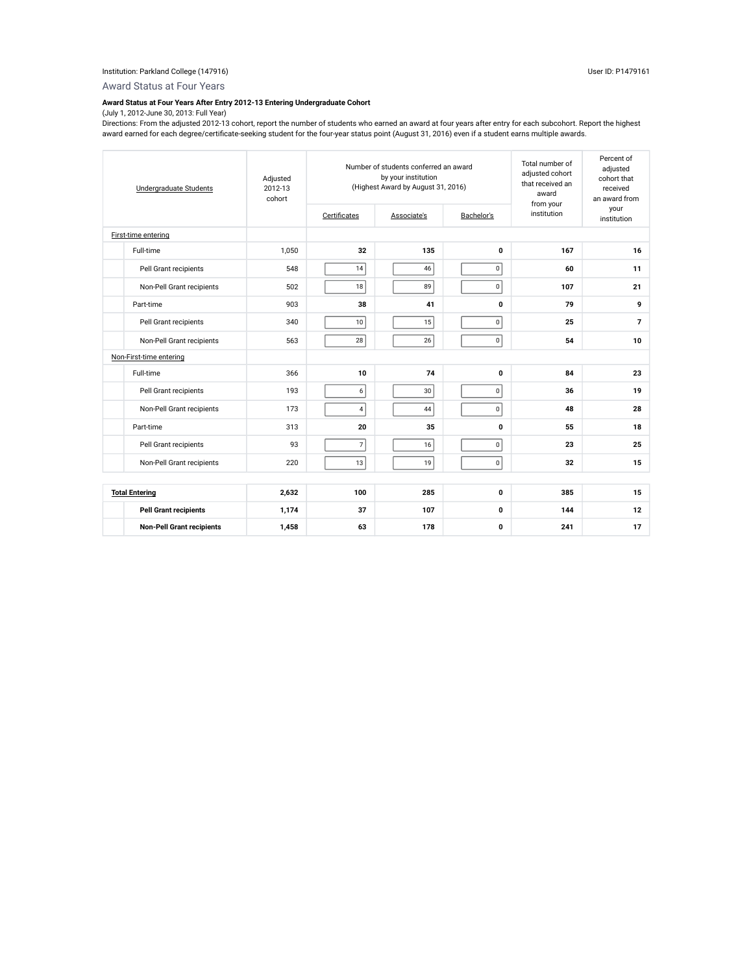Award Status at Four Years

## **Award Status at Four Years After Entry 2012-13 Entering Undergraduate Cohort**

### (July 1, 2012-June 30, 2013: Full Year)

Directions: From the adjusted 2012-13 cohort, report the number of students who earned an award at four years after entry for each subcohort. Report the highest award earned for each degree/certificate-seeking student for the four-year status point (August 31, 2016) even if a student earns multiple awards.

| <b>Undergraduate Students</b>    | Adjusted<br>2012-13<br>cohort | Certificates   | Number of students conferred an award<br>by your institution<br>(Highest Award by August 31, 2016)<br>Associate's | Total number of<br>adjusted cohort<br>that received an<br>award<br>from your<br>institution | Percent of<br>adjusted<br>cohort that<br>received<br>an award from<br>your<br>institution |                |  |  |
|----------------------------------|-------------------------------|----------------|-------------------------------------------------------------------------------------------------------------------|---------------------------------------------------------------------------------------------|-------------------------------------------------------------------------------------------|----------------|--|--|
| First-time entering              |                               |                |                                                                                                                   |                                                                                             |                                                                                           |                |  |  |
| Full-time                        | 1,050                         | 32             | 135                                                                                                               | $\mathbf 0$                                                                                 | 167                                                                                       | 16             |  |  |
| Pell Grant recipients            | 548                           | 14             | 46                                                                                                                | $\pmb{0}$                                                                                   | 60                                                                                        | 11             |  |  |
| Non-Pell Grant recipients        | 502                           | 18             | 89                                                                                                                | $\mathbf 0$                                                                                 | 107                                                                                       | 21             |  |  |
| Part-time                        | 903                           | 38             | 41                                                                                                                | $\mathbf 0$                                                                                 | 79                                                                                        | 9              |  |  |
| Pell Grant recipients            | 340                           | 10             | 15                                                                                                                | $\pmb{0}$                                                                                   | 25                                                                                        | $\overline{7}$ |  |  |
| Non-Pell Grant recipients        | 563                           | 28             | 26                                                                                                                | $\mathbf 0$                                                                                 | 54                                                                                        | 10             |  |  |
| Non-First-time entering          |                               |                |                                                                                                                   |                                                                                             |                                                                                           |                |  |  |
| Full-time                        | 366                           | 10             | 74                                                                                                                | $\mathbf 0$                                                                                 | 84                                                                                        | 23             |  |  |
| Pell Grant recipients            | 193                           | 6              | 30                                                                                                                | $\pmb{0}$                                                                                   | 36                                                                                        | 19             |  |  |
| Non-Pell Grant recipients        | 173                           | $\overline{4}$ | 44                                                                                                                | $\pmb{0}$                                                                                   | 48                                                                                        | 28             |  |  |
| Part-time                        | 313                           | 20             | 35                                                                                                                | $\mathbf 0$                                                                                 | 55                                                                                        | 18             |  |  |
| Pell Grant recipients            | 93                            | $\overline{7}$ | 16                                                                                                                | $\pmb{0}$                                                                                   | 23                                                                                        | 25             |  |  |
| Non-Pell Grant recipients        | 220                           | 13             | 19                                                                                                                | $\mathbf 0$                                                                                 | 32                                                                                        | 15             |  |  |
|                                  |                               |                |                                                                                                                   |                                                                                             |                                                                                           |                |  |  |
| <b>Total Entering</b>            | 2,632                         | 100            | 285                                                                                                               | $\mathbf 0$                                                                                 | 385                                                                                       | 15             |  |  |
| <b>Pell Grant recipients</b>     | 1,174                         | 37             | 107                                                                                                               | $\mathbf 0$                                                                                 | 144                                                                                       | 12             |  |  |
| <b>Non-Pell Grant recipients</b> | 1,458                         | 63             | 178                                                                                                               | $\mathbf 0$                                                                                 | 241                                                                                       | 17             |  |  |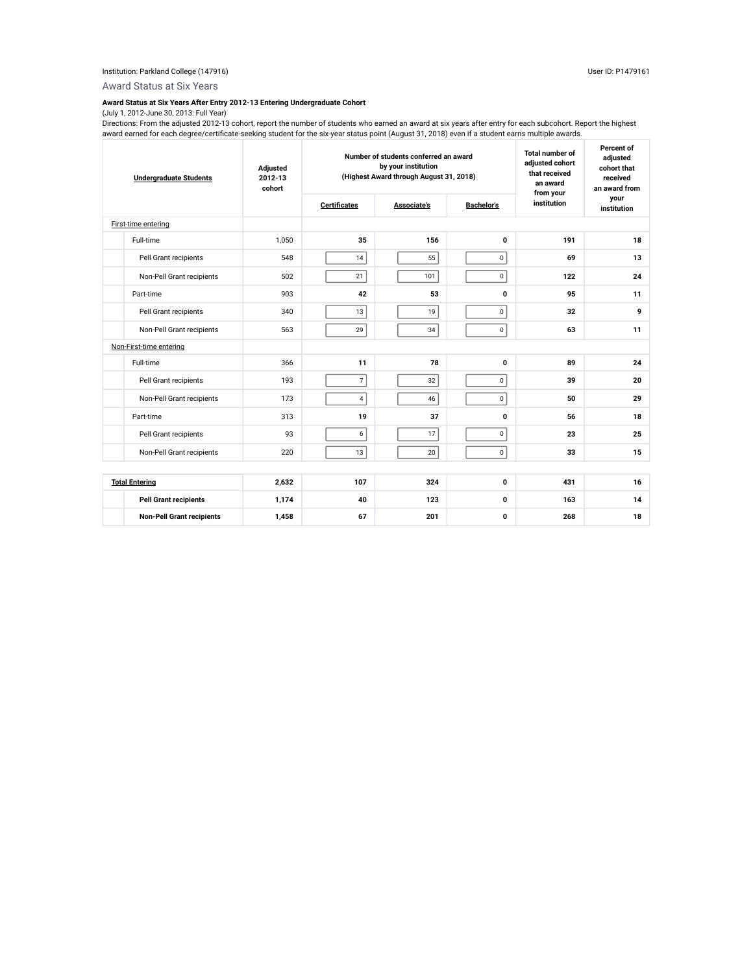Award Status at Six Years

### **Award Status at Six Years After Entry 2012-13 Entering Undergraduate Cohort**

### (July 1, 2012-June 30, 2013: Full Year)

Directions: From the adjusted 2012-13 cohort, report the number of students who earned an award at six years after entry for each subcohort. Report the highest award earned for each degree/certificate-seeking student for the six-year status point (August 31, 2018) even if a student earns multiple awards.

| <b>Undergraduate Students</b> |                                  | Adjusted<br>2012-13<br>cohort | Number of students conferred an award<br>by your institution<br>(Highest Award through August 31, 2018) |             | <b>Total number of</b><br>adiusted cohort<br>that received<br>an award<br>from your | Percent of<br>adjusted<br>cohort that<br>received<br>an award from |                     |
|-------------------------------|----------------------------------|-------------------------------|---------------------------------------------------------------------------------------------------------|-------------|-------------------------------------------------------------------------------------|--------------------------------------------------------------------|---------------------|
|                               |                                  |                               | <b>Certificates</b>                                                                                     | Associate's | <b>Bachelor's</b>                                                                   | institution                                                        | your<br>institution |
|                               | First-time entering              |                               |                                                                                                         |             |                                                                                     |                                                                    |                     |
|                               | Full-time                        | 1.050                         | 35                                                                                                      | 156         | $\mathbf{0}$                                                                        | 191                                                                | 18                  |
|                               | Pell Grant recipients            | 548                           | 14                                                                                                      | 55          | $\mathbf 0$                                                                         | 69                                                                 | 13                  |
|                               | Non-Pell Grant recipients        | 502                           | 21                                                                                                      | 101         | 0                                                                                   | 122                                                                | 24                  |
|                               | Part-time                        | 903                           | 42                                                                                                      | 53          | $\mathbf 0$                                                                         | 95                                                                 | 11                  |
|                               | Pell Grant recipients            | 340                           | 13                                                                                                      | 19          | 0                                                                                   | 32                                                                 | 9                   |
|                               | Non-Pell Grant recipients        | 563                           | 29                                                                                                      | 34          | $\mathbf 0$                                                                         | 63                                                                 | 11                  |
|                               | Non-First-time entering          |                               |                                                                                                         |             |                                                                                     |                                                                    |                     |
|                               | Full-time                        | 366                           | 11                                                                                                      | 78          | 0                                                                                   | 89                                                                 | 24                  |
|                               | Pell Grant recipients            | 193                           | $\overline{7}$                                                                                          | 32          | $\mathbf 0$                                                                         | 39                                                                 | 20                  |
|                               | Non-Pell Grant recipients        | 173                           | $\overline{4}$                                                                                          | 46          | $\mathbf 0$                                                                         | 50                                                                 | 29                  |
|                               | Part-time                        | 313                           | 19                                                                                                      | 37          | $\mathbf 0$                                                                         | 56                                                                 | 18                  |
|                               | Pell Grant recipients            | 93                            | 6                                                                                                       | 17          | $\pmb{0}$                                                                           | 23                                                                 | 25                  |
|                               | Non-Pell Grant recipients        | 220                           | 13                                                                                                      | 20          | $\mathbf 0$                                                                         | 33                                                                 | 15                  |
|                               |                                  |                               |                                                                                                         |             |                                                                                     |                                                                    |                     |
|                               | <b>Total Entering</b>            | 2,632                         | 107                                                                                                     | 324         | $\mathbf 0$                                                                         | 431                                                                | 16                  |
|                               | <b>Pell Grant recipients</b>     | 1,174                         | 40                                                                                                      | 123         | $\mathbf{0}$                                                                        | 163                                                                | 14                  |
|                               | <b>Non-Pell Grant recipients</b> | 1,458                         | 67                                                                                                      | 201         | $\mathbf 0$                                                                         | 268                                                                | 18                  |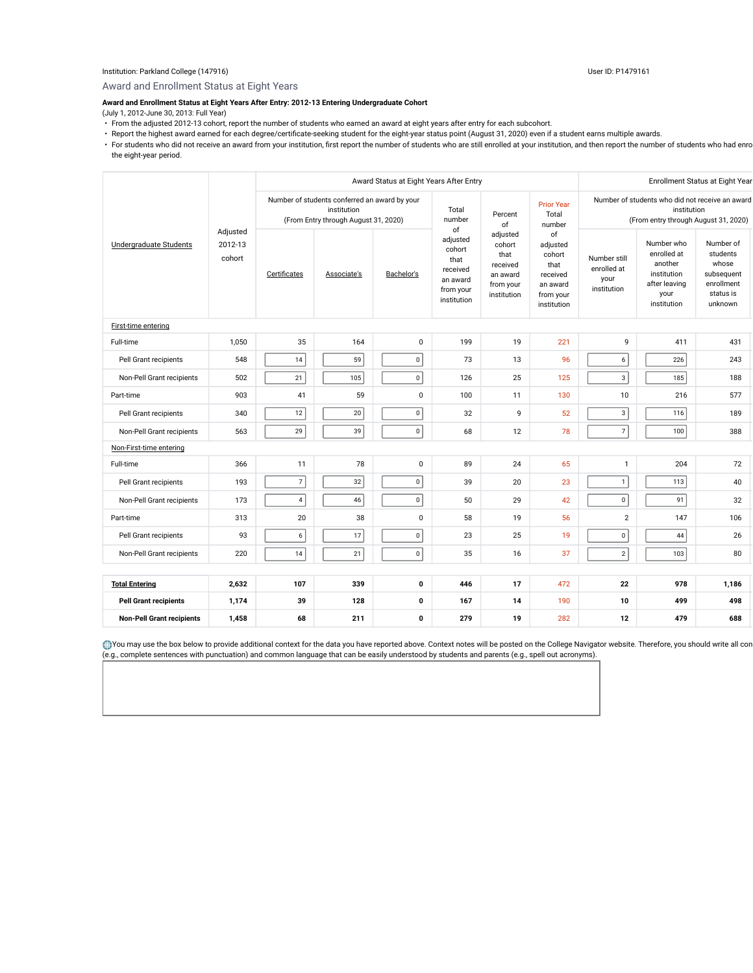#### Institution: Parkland College (147916) User ID: P1479161

Award and Enrollment Status at Eight Years

## **Award and Enrollment Status at Eight Years After Entry: 2012-13 Entering Undergraduate Cohort**

(July 1, 2012-June 30, 2013: Full Year)

- From the adjusted 2012-13 cohort, report the number of students who earned an award at eight years after entry for each subcohort.
- Report the highest award earned for each degree/certificate-seeking student for the eight-year status point (August 31, 2020) even if a student earns multiple awards.
- For students who did not receive an award from your institution, first report the number of students who are still enrolled at your institution, and then report the number of students who had enro the eight-year period.

|                                  |                               |                                                                                                      | Award Status at Eight Years After Entry |                 |                                                                                      |                                                                                |                                                                                                        | Enrollment Status at Eight Year                    |                                                                                             |                                                                                    |
|----------------------------------|-------------------------------|------------------------------------------------------------------------------------------------------|-----------------------------------------|-----------------|--------------------------------------------------------------------------------------|--------------------------------------------------------------------------------|--------------------------------------------------------------------------------------------------------|----------------------------------------------------|---------------------------------------------------------------------------------------------|------------------------------------------------------------------------------------|
| Undergraduate Students           |                               | Number of students conferred an award by your<br>institution<br>(From Entry through August 31, 2020) |                                         | Total<br>number | Percent<br>of                                                                        | <b>Prior Year</b><br>Total<br>number                                           | Number of students who did not receive an award<br>institution<br>(From entry through August 31, 2020) |                                                    |                                                                                             |                                                                                    |
|                                  | Adjusted<br>2012-13<br>cohort | Certificates                                                                                         | Associate's                             | Bachelor's      | of<br>adjusted<br>cohort<br>that<br>received<br>an award<br>from your<br>institution | adjusted<br>cohort<br>that<br>received<br>an award<br>from your<br>institution | of<br>adjusted<br>cohort<br>that<br>received<br>an award<br>from your<br>institution                   | Number still<br>enrolled at<br>your<br>institution | Number who<br>enrolled at<br>another<br>institution<br>after leaving<br>your<br>institution | Number of<br>students<br>whose<br>subsequent<br>enrollment<br>status is<br>unknown |
| First-time entering              |                               |                                                                                                      |                                         |                 |                                                                                      |                                                                                |                                                                                                        |                                                    |                                                                                             |                                                                                    |
| Full-time                        | 1,050                         | 35                                                                                                   | 164                                     | $\pmb{0}$       | 199                                                                                  | 19                                                                             | 221                                                                                                    | 9                                                  | 411                                                                                         | 431                                                                                |
| Pell Grant recipients            | 548                           | 14                                                                                                   | 59                                      | $\mathbf 0$     | 73                                                                                   | 13                                                                             | 96                                                                                                     | 6                                                  | 226                                                                                         | 243                                                                                |
| Non-Pell Grant recipients        | 502                           | 21                                                                                                   | 105                                     | $\pmb{0}$       | 126                                                                                  | 25                                                                             | 125                                                                                                    | $\mathbf{3}$                                       | 185                                                                                         | 188                                                                                |
| Part-time                        | 903                           | 41                                                                                                   | 59                                      | 0               | 100                                                                                  | 11                                                                             | 130                                                                                                    | 10                                                 | 216                                                                                         | 577                                                                                |
| Pell Grant recipients            | 340                           | 12                                                                                                   | $20\,$                                  | $\mathbf 0$     | 32                                                                                   | 9                                                                              | 52                                                                                                     | $\mathbf{3}$                                       | 116                                                                                         | 189                                                                                |
| Non-Pell Grant recipients        | 563                           | 29                                                                                                   | 39                                      | $\mathbf{0}$    | 68                                                                                   | 12                                                                             | 78                                                                                                     | $\overline{7}$                                     | 100                                                                                         | 388                                                                                |
| Non-First-time entering          |                               |                                                                                                      |                                         |                 |                                                                                      |                                                                                |                                                                                                        |                                                    |                                                                                             |                                                                                    |
| Full-time                        | 366                           | 11                                                                                                   | 78                                      | $\mathbf 0$     | 89                                                                                   | 24                                                                             | 65                                                                                                     | $\mathbf{1}$                                       | 204                                                                                         | 72                                                                                 |
| Pell Grant recipients            | 193                           | $\overline{7}$                                                                                       | $32\,$                                  | $\mathbf 0$     | 39                                                                                   | 20                                                                             | 23                                                                                                     | $\mathbf{1}$                                       | 113                                                                                         | 40                                                                                 |
| Non-Pell Grant recipients        | 173                           | 4                                                                                                    | 46                                      | $\mathbf 0$     | 50                                                                                   | 29                                                                             | 42                                                                                                     | $\mathbf 0$                                        | 91                                                                                          | 32                                                                                 |
| Part-time                        | 313                           | 20                                                                                                   | 38                                      | $\pmb{0}$       | 58                                                                                   | 19                                                                             | 56                                                                                                     | $\overline{2}$                                     | 147                                                                                         | 106                                                                                |
| Pell Grant recipients            | 93                            | 6                                                                                                    | 17                                      | $\mathbf 0$     | 23                                                                                   | 25                                                                             | 19                                                                                                     | $\mathbf 0$                                        | 44                                                                                          | 26                                                                                 |
| Non-Pell Grant recipients        | 220                           | 14                                                                                                   | 21                                      | $\mathbf 0$     | 35                                                                                   | 16                                                                             | 37                                                                                                     | $\overline{2}$                                     | 103                                                                                         | 80                                                                                 |
|                                  |                               |                                                                                                      |                                         |                 |                                                                                      |                                                                                |                                                                                                        |                                                    |                                                                                             |                                                                                    |
| <b>Total Entering</b>            | 2,632                         | 107                                                                                                  | 339                                     | 0               | 446                                                                                  | 17                                                                             | 472                                                                                                    | 22                                                 | 978                                                                                         | 1,186                                                                              |
| <b>Pell Grant recipients</b>     | 1,174                         | 39                                                                                                   | 128                                     | 0               | 167                                                                                  | 14                                                                             | 190                                                                                                    | 10                                                 | 499                                                                                         | 498                                                                                |
| <b>Non-Pell Grant recipients</b> | 1,458                         | 68                                                                                                   | 211                                     | $\mathbf 0$     | 279                                                                                  | 19                                                                             | 282                                                                                                    | 12                                                 | 479                                                                                         | 688                                                                                |

You may use the box below to provide additional context for the data you have reported above. Context notes will be posted on the College Navigator website. Therefore, you should write all con (e.g., complete sentences with punctuation) and common language that can be easily understood by students and parents (e.g., spell out acronyms).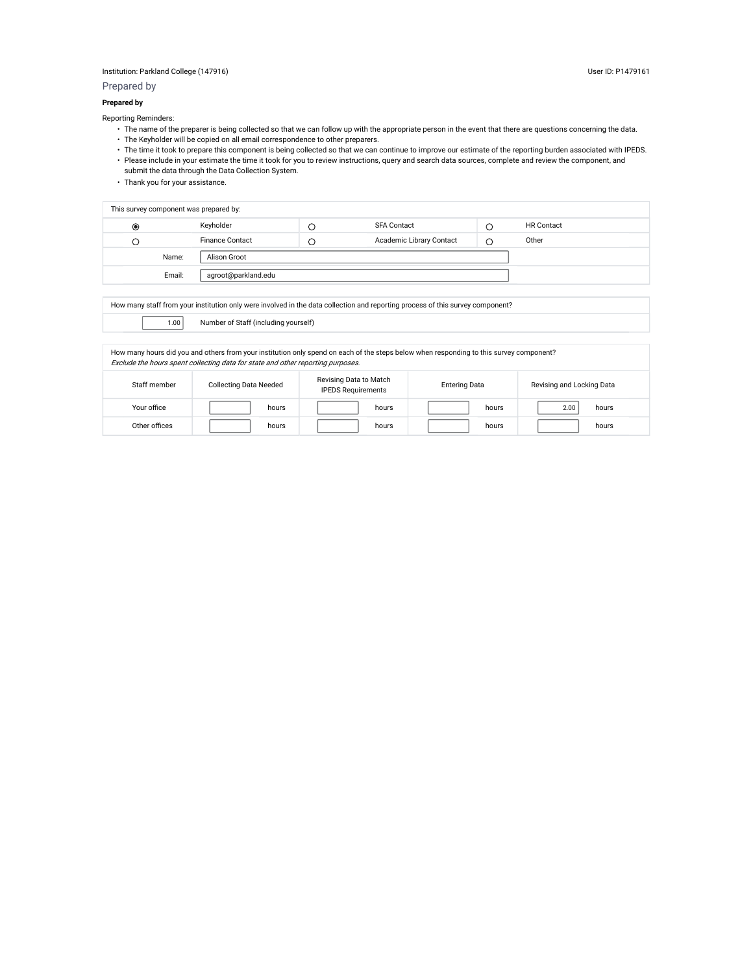### Institution: Parkland College (147916) User ID: P1479161

Prepared by

### **Prepared by**

Reporting Reminders:

- The name of the preparer is being collected so that we can follow up with the appropriate person in the event that there are questions concerning the data. • The Keyholder will be copied on all email correspondence to other preparers.
- The time it took to prepare this component is being collected so that we can continue to improve our estimate of the reporting burden associated with IPEDS.
- Please include in your estimate the time it took for you to review instructions, query and search data sources, complete and review the component, and submit the data through the Data Collection System.
- Thank you for your assistance.

| This survey component was prepared by: |        |                        |     |                          |   |                   |  |
|----------------------------------------|--------|------------------------|-----|--------------------------|---|-------------------|--|
| $\circledcirc$                         |        | Keyholder              |     | <b>SFA Contact</b>       |   | <b>HR</b> Contact |  |
| Э.                                     |        | <b>Finance Contact</b> | - 1 | Academic Library Contact | C | Other             |  |
|                                        | Name:  | Alison Groot           |     |                          |   |                   |  |
|                                        | Email: | agroot@parkland.edu    |     |                          |   |                   |  |
|                                        |        |                        |     |                          |   |                   |  |

How many staff from your institution only were involved in the data collection and reporting process of this survey component?

1.00 Number of Staff (including yourself)

| How many hours did you and others from your institution only spend on each of the steps below when responding to this survey component?<br>Exclude the hours spent collecting data for state and other reporting purposes. |       |       |       |               |  |  |  |  |  |
|----------------------------------------------------------------------------------------------------------------------------------------------------------------------------------------------------------------------------|-------|-------|-------|---------------|--|--|--|--|--|
| Revising Data to Match<br>Revising and Locking Data<br>Staff member<br><b>Collecting Data Needed</b><br><b>Entering Data</b><br><b>IPEDS Requirements</b>                                                                  |       |       |       |               |  |  |  |  |  |
| Your office                                                                                                                                                                                                                | hours | hours | hours | 2.00<br>hours |  |  |  |  |  |
| Other offices<br>hours<br>hours<br>hours<br>hours                                                                                                                                                                          |       |       |       |               |  |  |  |  |  |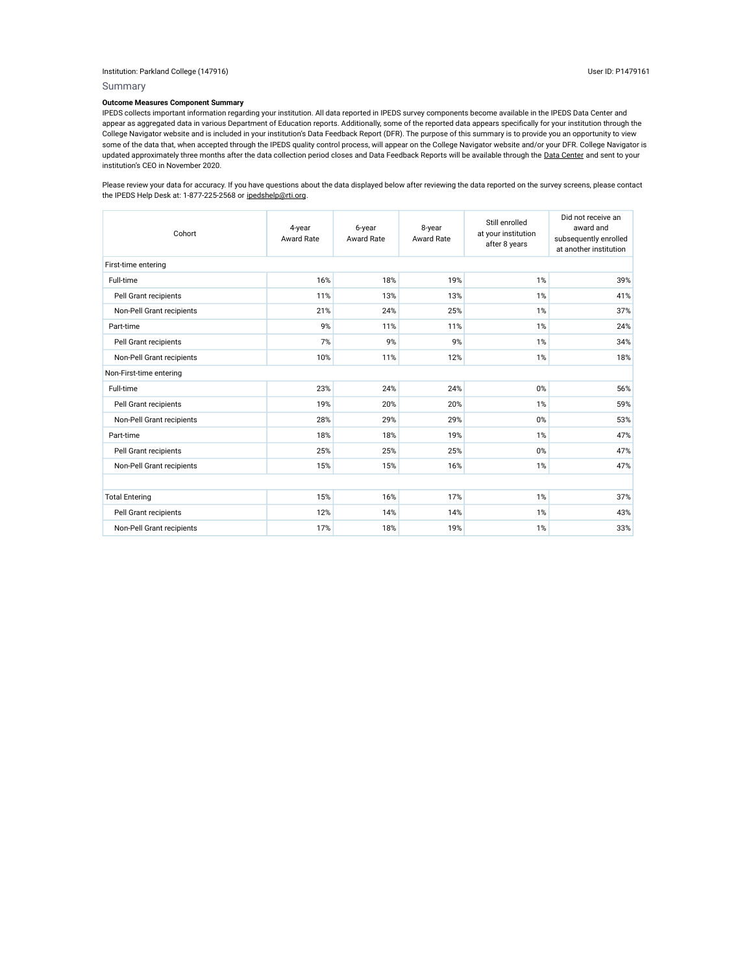### Institution: Parkland College (147916) User ID: P1479161

Summary

### **Outcome Measures Component Summary**

IPEDS collects important information regarding your institution. All data reported in IPEDS survey components become available in the IPEDS Data Center and appear as aggregated data in various Department of Education reports. Additionally, some of the reported data appears specifically for your institution through the College Navigator website and is included in your institution's Data Feedback Report (DFR). The purpose of this summary is to provide you an opportunity to view some of the data that, when accepted through the IPEDS quality control process, will appear on the College Navigator website and/or your DFR. College Navigator is updated approximately three months after the data collection period closes and Data Feedback Reports will be available through the Data Center and sent to your institution's CEO in November 2020.

Please review your data for accuracy. If you have questions about the data displayed below after reviewing the data reported on the survey screens, please contact the IPEDS Help Desk at: 1-877-225-2568 or ipedshelp@rti.org.

| Cohort                    | 4-year<br><b>Award Rate</b> | 6-year<br>Award Rate | 8-year<br>Award Rate | Still enrolled<br>at your institution<br>after 8 years | Did not receive an<br>award and<br>subsequently enrolled<br>at another institution |  |  |  |  |
|---------------------------|-----------------------------|----------------------|----------------------|--------------------------------------------------------|------------------------------------------------------------------------------------|--|--|--|--|
| First-time entering       |                             |                      |                      |                                                        |                                                                                    |  |  |  |  |
| Full-time                 | 16%                         | 18%                  | 19%                  | 1%                                                     | 39%                                                                                |  |  |  |  |
| Pell Grant recipients     | 11%                         | 13%                  | 13%                  | 1%                                                     | 41%                                                                                |  |  |  |  |
| Non-Pell Grant recipients | 21%                         | 24%                  | 25%                  | 1%                                                     | 37%                                                                                |  |  |  |  |
| Part-time                 | 9%                          | 11%                  | 11%                  | 1%                                                     | 24%                                                                                |  |  |  |  |
| Pell Grant recipients     | 7%                          | 9%                   | 9%                   | 1%                                                     | 34%                                                                                |  |  |  |  |
| Non-Pell Grant recipients | 10%                         | 11%                  | 12%                  | 1%                                                     | 18%                                                                                |  |  |  |  |
| Non-First-time entering   |                             |                      |                      |                                                        |                                                                                    |  |  |  |  |
| Full-time                 | 23%                         | 24%                  | 24%                  | 0%                                                     | 56%                                                                                |  |  |  |  |
| Pell Grant recipients     | 19%                         | 20%                  | 20%                  | 1%                                                     | 59%                                                                                |  |  |  |  |
| Non-Pell Grant recipients | 28%                         | 29%                  | 29%                  | 0%                                                     | 53%                                                                                |  |  |  |  |
| Part-time                 | 18%                         | 18%                  | 19%                  | 1%                                                     | 47%                                                                                |  |  |  |  |
| Pell Grant recipients     | 25%                         | 25%                  | 25%                  | 0%                                                     | 47%                                                                                |  |  |  |  |
| Non-Pell Grant recipients | 15%                         | 15%                  | 16%                  | 1%                                                     | 47%                                                                                |  |  |  |  |
|                           |                             |                      |                      |                                                        |                                                                                    |  |  |  |  |
| <b>Total Entering</b>     | 15%                         | 16%                  | 17%                  | 1%                                                     | 37%                                                                                |  |  |  |  |
| Pell Grant recipients     | 12%                         | 14%                  | 14%                  | 1%                                                     | 43%                                                                                |  |  |  |  |
| Non-Pell Grant recipients | 17%                         | 18%                  | 19%                  | 1%                                                     | 33%                                                                                |  |  |  |  |